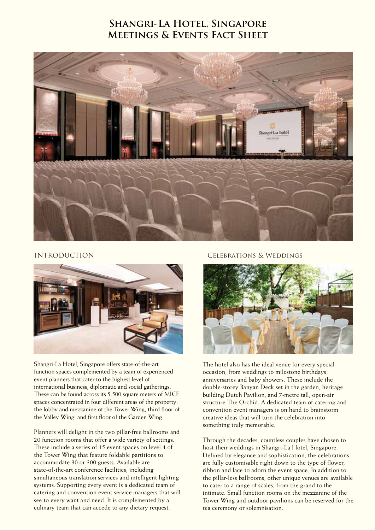# **Shangri-La Hotel, Singapore Meetings & Events Fact Sheet**





Shangri-La Hotel, Singapore offers state-of-the-art function spaces complemented by a team of experienced event planners that cater to the highest level of international business, diplomatic and social gatherings. These can be found across its 5,500 square meters of MICE spaces concentrated in four different areas of the property: the lobby and mezzanine of the Tower Wing, third floor of the Valley Wing, and first floor of the Garden Wing.

Planners will delight in the two pillar-free ballrooms and 20 function rooms that offer a wide variety of settings. These include a series of 15 event spaces on level 4 of the Tower Wing that feature foldable partitions to accommodate 30 or 300 guests. Available are state-of-the-art conference facilities, including simultaneous translation services and intelligent lighting systems. Supporting every event is a dedicated team of catering and convention event service managers that will see to every want and need. It is complemented by a culinary team that can accede to any dietary request.

## INTRODUCTION Celebrations & Weddings



The hotel also has the ideal venue for every special occasion, from weddings to milestone birthdays, anniversaries and baby showers. These include the double-storey Banyan Deck set in the garden, heritage building Dutch Pavilion, and 7-metre tall, open-air structure The Orchid. A dedicated team of catering and convention event managers is on hand to brainstorm creative ideas that will turn the celebration into something truly memorable.

Through the decades, countless couples have chosen to host their weddings in Shangri-La Hotel, Singapore. Defined by elegance and sophistication, the celebrations are fully customisable right down to the type of flower, ribbon and lace to adorn the event space. In addition to the pillar-less ballrooms, other unique venues are available to cater to a range of scales, from the grand to the intimate. Small function rooms on the mezzanine of the Tower Wing and outdoor pavilions can be reserved for the tea ceremony or solemnisation.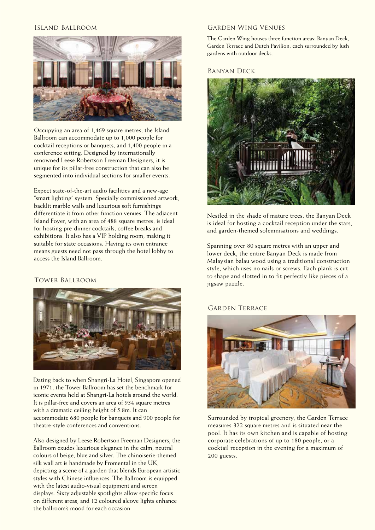

Occupying an area of 1,469 square metres, the Island Ballroom can accommodate up to 1,000 people for cocktail receptions or banquets, and 1,400 people in a conference setting. Designed by internationally renowned Leese Robertson Freeman Designers, it is unique for its pillar-free construction that can also be segmented into individual sections for smaller events.

Expect state-of-the-art audio facilities and a new-age "smart lighting" system. Specially commissioned artwork, backlit marble walls and luxurious soft furnishings differentiate it from other function venues. The adjacent Island Foyer, with an area of 488 square metres, is ideal for hosting pre-dinner cocktails, coffee breaks and exhibitions. It also has a VIP holding room, making it suitable for state occasions. Having its own entrance means guests need not pass through the hotel lobby to access the Island Ballroom.

## Tower Ballroom



Dating back to when Shangri-La Hotel, Singapore opened in 1971, the Tower Ballroom has set the benchmark for iconic events held at Shangri-La hotels around the world. It is pillar-free and covers an area of 934 square metres with a dramatic ceiling height of 5.8m. It can accommodate 680 people for banquets and 900 people for theatre-style conferences and conventions.

Also designed by Leese Robertson Freeman Designers, the Ballroom exudes luxurious elegance in the calm, neutral colours of beige, blue and silver. The chinoiserie-themed silk wall art is handmade by Fromental in the UK, depicting a scene of a garden that blends European artistic styles with Chinese influences. The Ballroom is equipped with the latest audio-visual equipment and screen displays. Sixty adjustable spotlights allow specific focus on different areas, and 12 coloured alcove lights enhance the ballroom's mood for each occasion.

### Island Ballroom Garden Wing Venues

The Garden Wing houses three function areas: Banyan Deck, Garden Terrace and Dutch Pavilion, each surrounded by lush gardens with outdoor decks.

Banyan Deck



Nestled in the shade of mature trees, the Banyan Deck is ideal for hosting a cocktail reception under the stars, and garden-themed solemnisations and weddings.

Spanning over 80 square metres with an upper and lower deck, the entire Banyan Deck is made from Malaysian balau wood using a traditional construction style, which uses no nails or screws. Each plank is cut to shape and slotted in to fit perfectly like pieces of a jigsaw puzzle.

## GARDEN TERRACE



Surrounded by tropical greenery, the Garden Terrace measures 322 square metres and is situated near the pool. It has its own kitchen and is capable of hosting corporate celebrations of up to 180 people, or a cocktail reception in the evening for a maximum of 200 guests.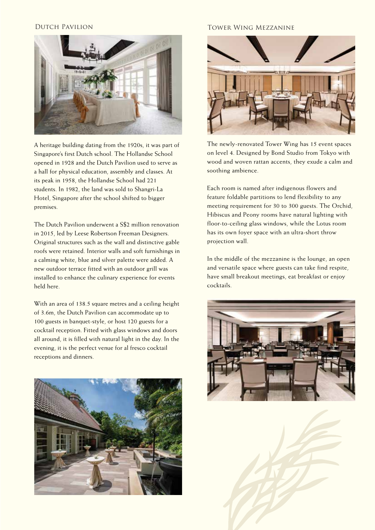

A heritage building dating from the 1920s, it was part of Singapore's first Dutch school. The Hollandse School opened in 1928 and the Dutch Pavilion used to serve as a hall for physical education, assembly and classes. At its peak in 1958, the Hollandse School had 221 students. In 1982, the land was sold to Shangri-La Hotel, Singapore after the school shifted to bigger premises.

The Dutch Pavilion underwent a S\$2 million renovation in 2015, led by Leese Robertson Freeman Designers. Original structures such as the wall and distinctive gable roofs were retained. Interior walls and soft furnishings in a calming white, blue and silver palette were added. A new outdoor terrace fitted with an outdoor grill was installed to enhance the culinary experience for events held here.

With an area of 138.5 square metres and a ceiling height of 3.6m, the Dutch Pavilion can accommodate up to 100 guests in banquet-style, or host 120 guests for a cocktail reception. Fitted with glass windows and doors all around, it is filled with natural light in the day. In the evening, it is the perfect venue for al fresco cocktail receptions and dinners.



## Dutch Pavilion Tower Wing Mezzanine



The newly-renovated Tower Wing has 15 event spaces on level 4. Designed by Bond Studio from Tokyo with wood and woven rattan accents, they exude a calm and soothing ambience.

Each room is named after indigenous flowers and feature foldable partitions to lend flexibility to any meeting requirement for 30 to 300 guests. The Orchid, Hibiscus and Peony rooms have natural lighting with floor-to-ceiling glass windows, while the Lotus room has its own foyer space with an ultra-short throw projection wall.

In the middle of the mezzanine is the lounge, an open and versatile space where guests can take find respite, have small breakout meetings, eat breakfast or enjoy cocktails.



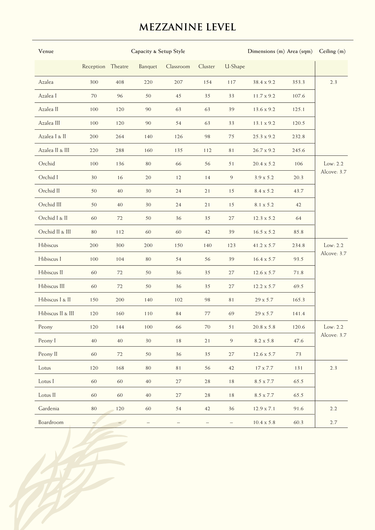# **MEZZANINE LEVEL**

| Venue             |                   |                          | Capacity & Setup Style | Dimensions (m) Area (sqm) Ceiling (m) |         |         |                   |       |                           |
|-------------------|-------------------|--------------------------|------------------------|---------------------------------------|---------|---------|-------------------|-------|---------------------------|
|                   | Reception Theatre |                          | Banquet                | Classroom                             | Cluster | U-Shape |                   |       |                           |
| Azalea            | 300               | 408                      | 220                    | 207                                   | 154     | 117     | 38.4 x 9.2        | 353.3 | 2.3                       |
| Azalea I          | 70                | 96                       | 50                     | 45                                    | 35      | 33      | 11.7 x 9.2        | 107.6 |                           |
| Azalea II         | 100               | 120                      | 90                     | 63                                    | 63      | 39      | 13.6 x 9.2        | 125.1 |                           |
| Azalea III        | 100               | 120                      | 90                     | 54                                    | 63      | 33      | 13.1 x 9.2        | 120.5 |                           |
| Azalea I & II     | 200               | 264                      | 140                    | 126                                   | 98      | 75      | $25.3 \times 9.2$ | 232.8 |                           |
| Azalea II & III   | 220               | 288                      | 160                    | 135                                   | 112     | 81      | 26.7 x 9.2        | 245.6 |                           |
| Orchid            | 100               | 136                      | 80                     | 66                                    | 56      | 51      | $20.4 \times 5.2$ | 106   | Low: $2.2$<br>Alcove: 3.7 |
| Orchid I          | 30                | 16                       | 20                     | 12                                    | 14      | $\,9$   | $3.9 \times 5.2$  | 20.3  |                           |
| Orchid II         | 50                | 40                       | 30                     | 24                                    | 21      | 15      | 8.4 x 5.2         | 43.7  |                           |
| Orchid III        | 50                | 40                       | 30                     | 24                                    | 21      | 15      | 8.1 x 5.2         | 42    |                           |
| Orchid I & II     | 60                | 72                       | 50                     | 36                                    | 35      | 27      | 12.3 x 5.2        | 64    |                           |
| Orchid II & III   | 80                | 112                      | 60                     | 60                                    | 42      | 39      | $16.5 \times 5.2$ | 85.8  |                           |
| Hibiscus          | 200               | 300                      | 200                    | 150                                   | 140     | 123     | 41.2 x 5.7        | 234.8 | Low: $2.2$<br>Alcove: 3.7 |
| Hibiscus I        | 100               | 104                      | 80                     | 54                                    | 56      | 39      | $16.4 \times 5.7$ | 93.5  |                           |
| Hibiscus II       | 60                | 72                       | 50                     | 36                                    | 35      | 27      | $12.6 \times 5.7$ | 71.8  |                           |
| Hibiscus III      | 60                | 72                       | 50                     | 36                                    | 35      | 27      | 12.2 x 5.7        | 69.5  |                           |
| Hibiscus I & II   | 150               | 200                      | 140                    | 102                                   | 98      | 81      | 29 x 5.7          | 165.3 |                           |
| Hibiscus II & III | 120               | 160                      | 110                    | 84                                    | 77      | 69      | 29 x 5.7          | 141.4 |                           |
| Peony             | 120               | 144                      | 100                    | 66                                    | 70      | 51      | $20.8 \ge 5.8$    | 120.6 | Low: $2.2$<br>Alcove: 3.7 |
| Peony I           | 40                | $40\,$                   | 30                     | $1\,8$                                | 21      | 9       | 8.2 x 5.8         | 47.6  |                           |
| Peony II          | 60                | 72                       | 50                     | $36\,$                                | 35      | 27      | $12.6 \times 5.7$ | 73    |                           |
| Lotus             | 120               | 168                      | 80                     | $8\,1$                                | 56      | 42      | $17$ x $7.7\,$    | 131   | 2.3                       |
| Lotus I           | 60                | 60                       | 40                     | $27\,$                                | 28      | $1\,8$  | $8.5$ x $7.7\,$   | 65.5  |                           |
| Lotus II          | 60                | 60                       | 40                     | 27                                    | 28      | 18      | $8.5$ x $7.7\,$   | 65.5  |                           |
| Gardenia          | $80\,$            | 120                      | 60                     | 54                                    | 42      | 36      | $12.9 \times 7.1$ | 91.6  | 2.2                       |
| Boardroom         |                   | $\overline{\phantom{0}}$ |                        |                                       |         |         | $10.4 \ge 5.8$    | 60.3  | $2.7\,$                   |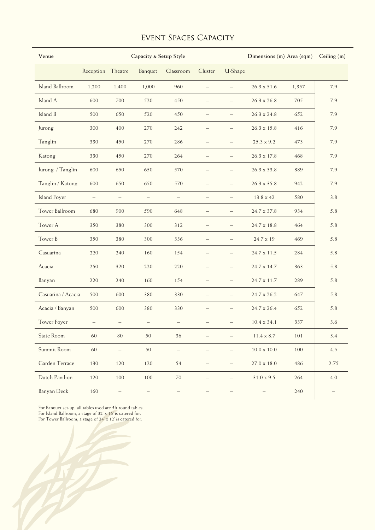## Event Spaces Capacity

| Venue                  |                   | Capacity & Setup Style   |                   |                   |                          |                          |                    | Dimensions (m) Area (sqm) |         |
|------------------------|-------------------|--------------------------|-------------------|-------------------|--------------------------|--------------------------|--------------------|---------------------------|---------|
|                        | Reception Theatre |                          | Banquet           | Classroom         | Cluster                  | U-Shape                  |                    |                           |         |
| <b>Island Ballroom</b> | 1,200             | 1,400                    | 1,000             | 960               | $\overline{\phantom{0}}$ | $-$                      | $26.3 \times 51.6$ | 1,357                     | 7.9     |
| Island A               | 600               | 700                      | 520               | 450               | $\qquad \qquad -$        | -                        | $26.3 \times 26.8$ | 705                       | 7.9     |
| Island B               | 500               | 650                      | 520               | 450               | $\qquad \qquad -$        | $\overline{\phantom{0}}$ | $26.3 \times 24.8$ | 652                       | 7.9     |
| Jurong                 | 300               | 400                      | 270               | 242               | $\overline{\phantom{0}}$ |                          | $26.3 \times 15.8$ | 416                       | 7.9     |
| Tanglin                | 330               | 450                      | 270               | 286               | $\qquad \qquad -$        | $\qquad \qquad -$        | $25.3 \times 9.2$  | 473                       | 7.9     |
| Katong                 | 330               | 450                      | 270               | 264               | $\overline{\phantom{0}}$ | $\qquad \qquad -$        | $26.3 \times 17.8$ | 468                       | 7.9     |
| Jurong / Tanglin       | 600               | 650                      | 650               | 570               | $\overline{\phantom{0}}$ |                          | 26.3 x 33.8        | 889                       | 7.9     |
| Tanglin / Katong       | 600               | 650                      | 650               | 570               | $\overline{\phantom{0}}$ | -                        | $26.3 \times 35.8$ | 942                       | 7.9     |
| <b>Island Foyer</b>    | $\qquad \qquad -$ | $\overline{\phantom{m}}$ | $\qquad \qquad -$ | $\qquad \qquad -$ | $\overline{\phantom{0}}$ | $\overline{\phantom{m}}$ | 13.8 x 42          | 580                       | 3.8     |
| Tower Ballroom         | 680               | 900                      | 590               | 648               | $\overline{\phantom{0}}$ |                          | 24.7 x 37.8        | 934                       | 5.8     |
| Tower A                | 350               | 380                      | 300               | 312               | $\overline{\phantom{0}}$ | $\qquad \qquad -$        | 24.7 x 18.8        | 464                       | 5.8     |
| Tower B                | 350               | 380                      | 300               | 336               | $\qquad \qquad -$        | $\qquad \qquad -$        | 24.7 x 19          | 469                       | 5.8     |
| Casuarina              | 220               | 240                      | 160               | 154               | $\overline{\phantom{0}}$ |                          | 24.7 x 11.5        | 284                       | 5.8     |
| Acacia                 | 250               | 320                      | 220               | 220               | $\qquad \qquad -$        | $\qquad \qquad -$        | 24.7 x 14.7        | 363                       | 5.8     |
| Banyan                 | 220               | 240                      | 160               | 154               | $\overline{\phantom{0}}$ |                          | 24.7 x 11.7        | 289                       | 5.8     |
| Casuarina / Acacia     | 500               | 600                      | 380               | 330               | $-$                      | $\equiv$                 | 24.7 x 26.2        | 647                       | 5.8     |
| Acacia / Banyan        | 500               | 600                      | 380               | 330               | $\qquad \qquad -$        | $\qquad \qquad -$        | 24.7 x 26.4        | 652                       | 5.8     |
| <b>Tower Foyer</b>     | $\qquad \qquad -$ | $\overline{\phantom{m}}$ | $\qquad \qquad -$ | $\qquad \qquad -$ | $\overline{\phantom{0}}$ | $\overline{\phantom{m}}$ | $10.4 \times 34.1$ | 337                       | 3.6     |
| <b>State Room</b>      | 60                | $80\,$                   | 50                | 36                |                          |                          | $11.4 \times 8.7$  | 101                       | 3.4     |
| Summit Room            | $60\,$            | $\qquad \qquad -$        | $50\,$            | $\qquad \qquad -$ | $\qquad \qquad -$        | $\overline{\phantom{0}}$ | $10.0 \times 10.0$ | 100                       | 4.5     |
| Garden Terrace         | 130               | 120                      | 120               | 54                | $\qquad \qquad -$        | $\qquad \qquad -$        | $27.0 \times 18.0$ | 486                       | 2.75    |
| Dutch Pavilion         | 120               | 100                      | 100               | 70                | $\overline{\phantom{0}}$ |                          | $31.0 \times 9.5$  | 264                       | $4.0\,$ |
| <b>Banyan Deck</b>     | 160               |                          |                   | $\qquad \qquad -$ |                          |                          |                    | 240                       |         |

For Banquet set-up, all tables used are 5ft round tables.

For Island Ballroom, a stage of 32' x 16' is catered for.

For Tower Ballroom, a stage of 24' x 12' is catered for.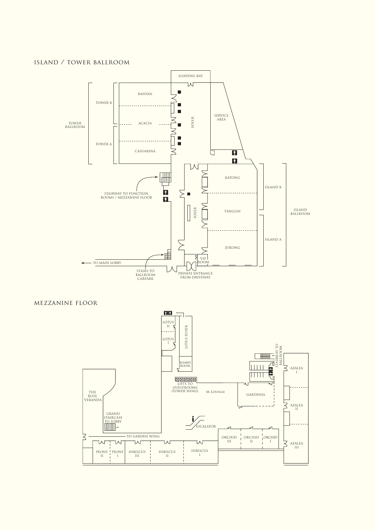## island / tower ballroom



## mezzanine floor

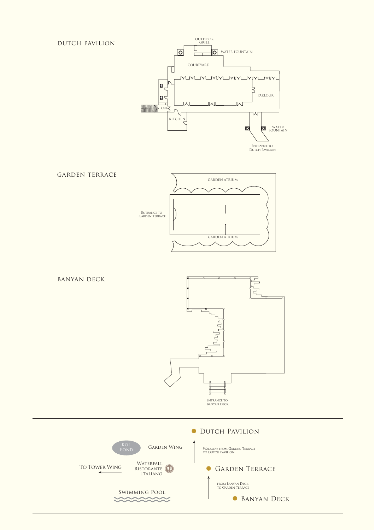